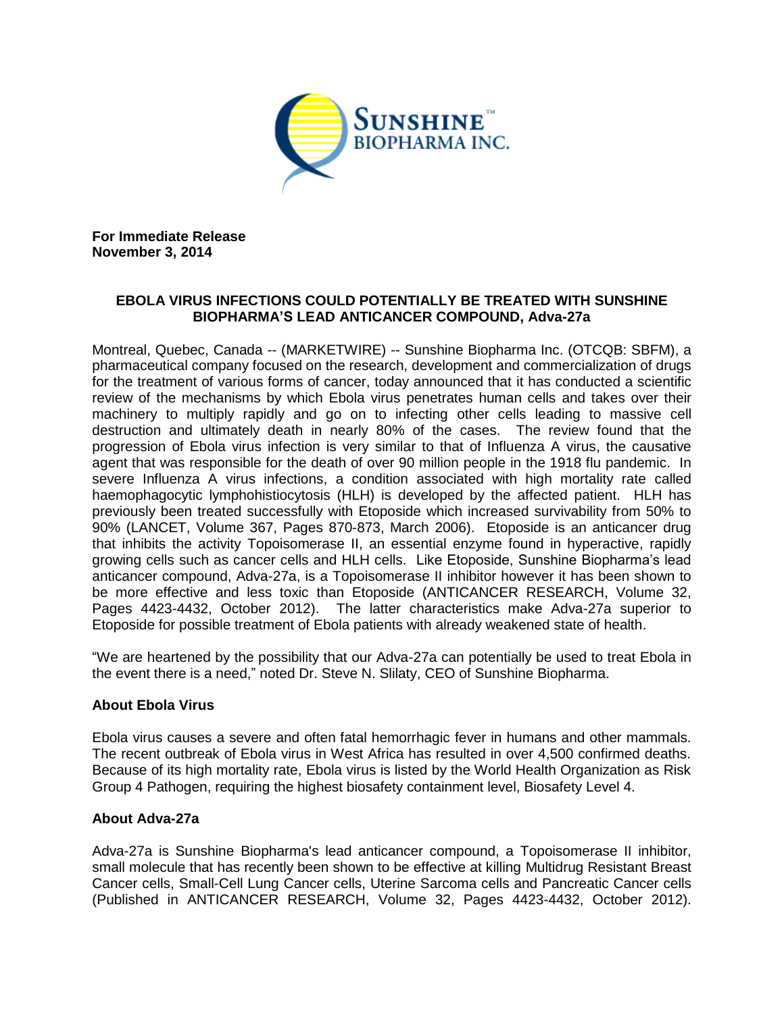

**For Immediate Release November 3, 2014**

# **EBOLA VIRUS INFECTIONS COULD POTENTIALLY BE TREATED WITH SUNSHINE BIOPHARMA'S LEAD ANTICANCER COMPOUND, Adva-27a**

Montreal, Quebec, Canada -- (MARKETWIRE) -- Sunshine Biopharma Inc. (OTCQB: SBFM), a pharmaceutical company focused on the research, development and commercialization of drugs for the treatment of various forms of cancer, today announced that it has conducted a scientific review of the mechanisms by which Ebola virus penetrates human cells and takes over their machinery to multiply rapidly and go on to infecting other cells leading to massive cell destruction and ultimately death in nearly 80% of the cases. The review found that the progression of Ebola virus infection is very similar to that of Influenza A virus, the causative agent that was responsible for the death of over 90 million people in the 1918 flu pandemic. In severe Influenza A virus infections, a condition associated with high mortality rate called haemophagocytic lymphohistiocytosis (HLH) is developed by the affected patient. HLH has previously been treated successfully with Etoposide which increased survivability from 50% to 90% (LANCET, Volume 367, Pages 870-873, March 2006). Etoposide is an anticancer drug that inhibits the activity Topoisomerase II, an essential enzyme found in hyperactive, rapidly growing cells such as cancer cells and HLH cells. Like Etoposide, Sunshine Biopharma's lead anticancer compound, Adva-27a, is a Topoisomerase II inhibitor however it has been shown to be more effective and less toxic than Etoposide (ANTICANCER RESEARCH, Volume 32, Pages 4423-4432, October 2012). The latter characteristics make Adva-27a superior to Etoposide for possible treatment of Ebola patients with already weakened state of health.

"We are heartened by the possibility that our Adva-27a can potentially be used to treat Ebola in the event there is a need," noted Dr. Steve N. Slilaty, CEO of Sunshine Biopharma.

# **About Ebola Virus**

Ebola virus causes a severe and often fatal hemorrhagic fever in humans and other mammals. The recent outbreak of Ebola virus in West Africa has resulted in over 4,500 confirmed deaths. Because of its high mortality rate, Ebola virus is listed by the World Health Organization as Risk Group 4 Pathogen, requiring the highest biosafety containment level, Biosafety Level 4.

# **About Adva-27a**

Adva-27a is Sunshine Biopharma's lead anticancer compound, a Topoisomerase II inhibitor, small molecule that has recently been shown to be effective at killing Multidrug Resistant Breast Cancer cells, Small-Cell Lung Cancer cells, Uterine Sarcoma cells and Pancreatic Cancer cells (Published in ANTICANCER RESEARCH, Volume 32, Pages 4423-4432, October 2012).